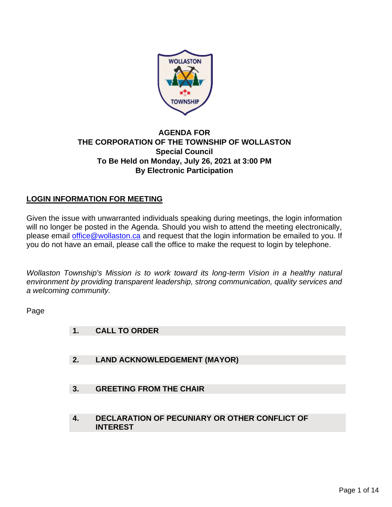

## **AGENDA FOR THE CORPORATION OF THE TOWNSHIP OF WOLLASTON Special Council To Be Held on Monday, July 26, 2021 at 3:00 PM By Electronic Participation**

# **LOGIN INFORMATION FOR MEETING**

Given the issue with unwarranted individuals speaking during meetings, the login information will no longer be posted in the Agenda. Should you wish to attend the meeting electronically, please email [office@wollaston.ca](mailto:office@wollaston.ca) and request that the login information be emailed to you. If you do not have an email, please call the office to make the request to login by telephone.

*Wollaston Township's Mission is to work toward its long-term Vision in a healthy natural environment by providing transparent leadership, strong communication, quality services and a welcoming community.* 

Page

- **1. CALL TO ORDER**
- **2. LAND ACKNOWLEDGEMENT (MAYOR)**
- **3. GREETING FROM THE CHAIR**
- **4. DECLARATION OF PECUNIARY OR OTHER CONFLICT OF INTEREST**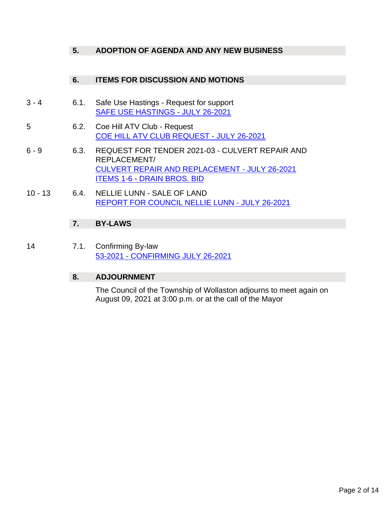## **5. ADOPTION OF AGENDA AND ANY NEW BUSINESS**

### **6. ITEMS FOR DISCUSSION AND MOTIONS**

- 3 4 6.1. Safe Use Hastings Request for support [SAFE USE HASTINGS -](#page-2-0) JULY 26-2021
- 5 6.2. Coe Hill ATV Club Request [COE HILL ATV CLUB REQUEST -](#page-4-0) JULY 26-2021
- 6 9 6.3. REQUEST FOR TENDER 2021-03 CULVERT REPAIR AND REPLACEMENT/ [CULVERT REPAIR AND REPLACEMENT -](#page-5-0) JULY 26-2021 ITEMS 1-6 - [DRAIN BROS. BID](#page-7-0)
- 10 13 6.4. NELLIE LUNN SALE OF LAND [REPORT FOR COUNCIL NELLIE LUNN -](#page-9-0) JULY 26-2021

## **7. BY-LAWS**

14 7.1. Confirming By-law 53-2021 - [CONFIRMING JULY 26-2021](#page-13-0)

### **8. ADJOURNMENT**

The Council of the Township of Wollaston adjourns to meet again on August 09, 2021 at 3:00 p.m. or at the call of the Mayor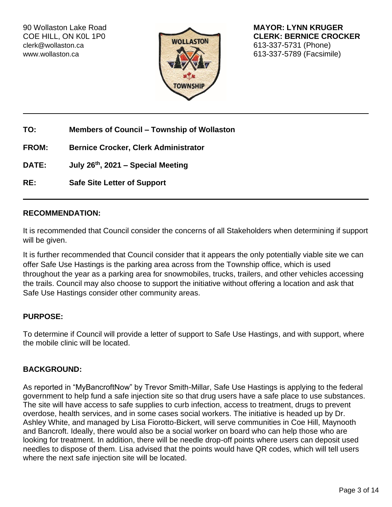[clerk@wollaston.ca](mailto:clerk@wollaston.ca) 613-337-5731 (Phone)



<span id="page-2-0"></span>90 Wollaston Lake Road **MAYOR: LYNN KRUGER**<br>COE HILL, ON KOL 1P0 **MAYOR: LYNN KRUGER CLERK: BERNICE CROCKER**<br>
240 207 5704 (PLEAD COURSER) [www.wollaston.ca](http://www.wollaston.ca/) 613-337-5789 (Facsimile)

**TO: Members of Council – Township of Wollaston**

**FROM: Bernice Crocker, Clerk Administrator**

**DATE: July 26th, 2021 – Special Meeting**

**RE: Safe Site Letter of Support** 

#### **RECOMMENDATION:**

It is recommended that Council consider the concerns of all Stakeholders when determining if support will be given.

It is further recommended that Council consider that it appears the only potentially viable site we can offer Safe Use Hastings is the parking area across from the Township office, which is used throughout the year as a parking area for snowmobiles, trucks, trailers, and other vehicles accessing the trails. Council may also choose to support the initiative without offering a location and ask that Safe Use Hastings consider other community areas.

### **PURPOSE:**

To determine if Council will provide a letter of support to Safe Use Hastings, and with support, where the mobile clinic will be located.

### **BACKGROUND:**

As reported in "MyBancroftNow" by Trevor Smith-Millar, Safe Use Hastings is applying to the federal government to help fund a safe injection site so that drug users have a safe place to use substances. The site will have access to safe supplies to curb infection, access to treatment, drugs to prevent overdose, health services, and in some cases social workers. The initiative is headed up by Dr. Ashley White, and managed by Lisa Fiorotto-Bickert, will serve communities in Coe Hill, Maynooth and Bancroft. Ideally, there would also be a social worker on board who can help those who are looking for treatment. In addition, there will be needle drop-off points where users can deposit used needles to dispose of them. Lisa advised that the points would have QR codes, which will tell users where the next safe injection site will be located.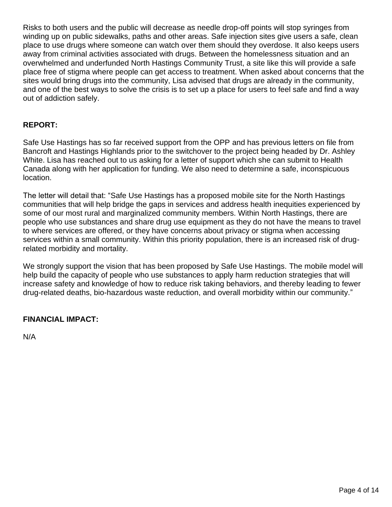Risks to both users and the public will decrease as needle drop-off points will stop syringes from winding up on public sidewalks, paths and other areas. Safe injection sites give users a safe, clean place to use drugs where someone can watch over them should they overdose. It also keeps users away from criminal activities associated with drugs. Between the homelessness situation and an overwhelmed and underfunded North Hastings Community Trust, a site like this will provide a safe place free of stigma where people can get access to treatment. When asked about concerns that the sites would bring drugs into the community, Lisa advised that drugs are already in the community, and one of the best ways to solve the crisis is to set up a place for users to feel safe and find a way out of addiction safely.

## **REPORT:**

Safe Use Hastings has so far received support from the OPP and has previous letters on file from Bancroft and Hastings Highlands prior to the switchover to the project being headed by Dr. Ashley White. Lisa has reached out to us asking for a letter of support which she can submit to Health Canada along with her application for funding. We also need to determine a safe, inconspicuous location.

The letter will detail that: "Safe Use Hastings has a proposed mobile site for the North Hastings communities that will help bridge the gaps in services and address health inequities experienced by some of our most rural and marginalized community members. Within North Hastings, there are people who use substances and share drug use equipment as they do not have the means to travel to where services are offered, or they have concerns about privacy or stigma when accessing services within a small community. Within this priority population, there is an increased risk of drugrelated morbidity and mortality.

We strongly support the vision that has been proposed by Safe Use Hastings. The mobile model will help build the capacity of people who use substances to apply harm reduction strategies that will increase safety and knowledge of how to reduce risk taking behaviors, and thereby leading to fewer drug-related deaths, bio-hazardous waste reduction, and overall morbidity within our community."

## **FINANCIAL IMPACT:**

N/A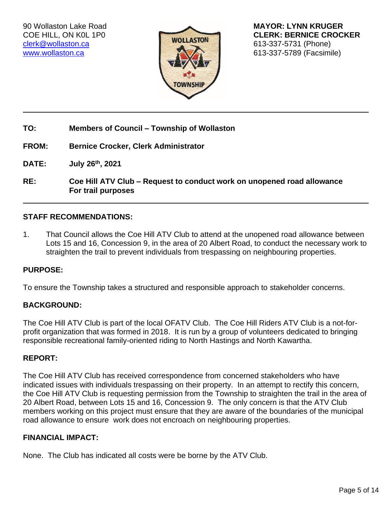[clerk@wollaston.ca](mailto:clerk@wollaston.ca) 613-337-5731 (Phone)



<span id="page-4-0"></span>90 Wollaston Lake Road **MAYOR: LYNN KRUGER** COE HILL, ON K0L 1P0 **CLERK: BERNICE CROCKER** [www.wollaston.ca](http://www.wollaston.ca/) **613-337-5789 (Facsimile)** 

**TO: Members of Council – Township of Wollaston**

**FROM: Bernice Crocker, Clerk Administrator**

**DATE: July 26th, 2021**

**RE: Coe Hill ATV Club – Request to conduct work on unopened road allowance For trail purposes**

#### **STAFF RECOMMENDATIONS:**

1. That Council allows the Coe Hill ATV Club to attend at the unopened road allowance between Lots 15 and 16, Concession 9, in the area of 20 Albert Road, to conduct the necessary work to straighten the trail to prevent individuals from trespassing on neighbouring properties.

#### **PURPOSE:**

To ensure the Township takes a structured and responsible approach to stakeholder concerns.

#### **BACKGROUND:**

The Coe Hill ATV Club is part of the local OFATV Club. The Coe Hill Riders ATV Club is a not-forprofit organization that was formed in 2018. It is run by a group of volunteers dedicated to bringing responsible recreational family-oriented riding to North Hastings and North Kawartha.

#### **REPORT:**

The Coe Hill ATV Club has received correspondence from concerned stakeholders who have indicated issues with individuals trespassing on their property. In an attempt to rectify this concern, the Coe Hill ATV Club is requesting permission from the Township to straighten the trail in the area of 20 Albert Road, between Lots 15 and 16, Concession 9. The only concern is that the ATV Club members working on this project must ensure that they are aware of the boundaries of the municipal road allowance to ensure work does not encroach on neighbouring properties.

### **FINANCIAL IMPACT:**

None. The Club has indicated all costs were be borne by the ATV Club.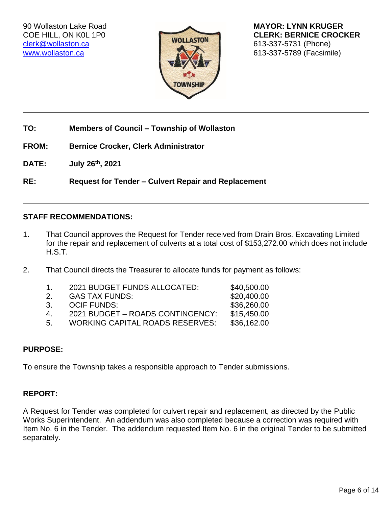

<span id="page-5-0"></span>90 Wollaston Lake Road **MAYOR: LYNN KRUGER** COE HILL, ON K0L 1P0 **CLERK: BERNICE CROCKER** [www.wollaston.ca](http://www.wollaston.ca/) **CONTENTS IN THE SET OF STATE OF STATE OF STATE OF STATE OF STATE OF STATE OF STATE OF STATE O** 

**TO: Members of Council – Township of Wollaston**

**FROM: Bernice Crocker, Clerk Administrator**

**DATE: July 26th, 2021**

**RE: Request for Tender – Culvert Repair and Replacement**

### **STAFF RECOMMENDATIONS:**

- 1. That Council approves the Request for Tender received from Drain Bros. Excavating Limited for the repair and replacement of culverts at a total cost of \$153,272.00 which does not include H.S.T.
- 2. That Council directs the Treasurer to allocate funds for payment as follows:

| $\mathbf{1}$ | 2021 BUDGET FUNDS ALLOCATED:           | \$40,500.00 |
|--------------|----------------------------------------|-------------|
| 2.           | <b>GAS TAX FUNDS:</b>                  | \$20,400.00 |
| 3.           | <b>OCIF FUNDS:</b>                     | \$36,260.00 |
| 4            | 2021 BUDGET – ROADS CONTINGENCY:       | \$15,450.00 |
| -5.          | <b>WORKING CAPITAL ROADS RESERVES:</b> | \$36,162.00 |

### **PURPOSE:**

To ensure the Township takes a responsible approach to Tender submissions.

# **REPORT:**

A Request for Tender was completed for culvert repair and replacement, as directed by the Public Works Superintendent. An addendum was also completed because a correction was required with Item No. 6 in the Tender. The addendum requested Item No. 6 in the original Tender to be submitted separately.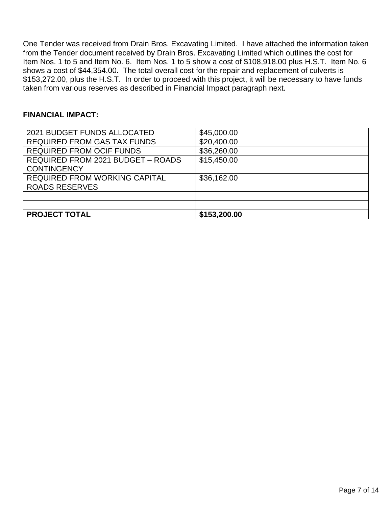One Tender was received from Drain Bros. Excavating Limited. I have attached the information taken from the Tender document received by Drain Bros. Excavating Limited which outlines the cost for Item Nos. 1 to 5 and Item No. 6. Item Nos. 1 to 5 show a cost of \$108,918.00 plus H.S.T. Item No. 6 shows a cost of \$44,354.00. The total overall cost for the repair and replacement of culverts is \$153,272.00, plus the H.S.T. In order to proceed with this project, it will be necessary to have funds taken from various reserves as described in Financial Impact paragraph next.

### **FINANCIAL IMPACT:**

| 2021 BUDGET FUNDS ALLOCATED        | \$45,000.00  |
|------------------------------------|--------------|
| <b>REQUIRED FROM GAS TAX FUNDS</b> | \$20,400.00  |
| <b>REQUIRED FROM OCIF FUNDS</b>    | \$36,260.00  |
| REQUIRED FROM 2021 BUDGET - ROADS  | \$15,450.00  |
| <b>CONTINGENCY</b>                 |              |
| REQUIRED FROM WORKING CAPITAL      | \$36,162.00  |
| <b>ROADS RESERVES</b>              |              |
|                                    |              |
|                                    |              |
| <b>PROJECT TOTAL</b>               | \$153,200.00 |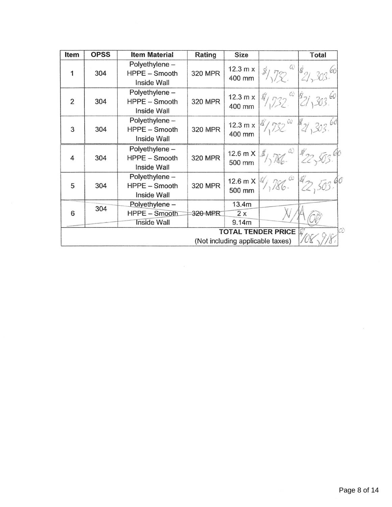<span id="page-7-0"></span>

| Item           | <b>OPSS</b> | <b>Item Material</b>                           | Rating         | <b>Size</b>                       |                           | Total |
|----------------|-------------|------------------------------------------------|----------------|-----------------------------------|---------------------------|-------|
| 1              | 304         | Polyethylene -<br>HPPE - Smooth<br>Inside Wall | 320 MPR        | 12.3 m x<br>400 mm                | $\omega$                  |       |
| $\overline{2}$ | 304         | Polyethylene -<br>HPPE - Smooth<br>Inside Wall | 320 MPR        | $12.3 \text{ m x}$<br>400 mm      | $C_{\mathcal{C}}$         |       |
| 3              | 304         | Polyethylene -<br>HPPE - Smooth<br>Inside Wall | 320 MPR        | $12.3 \text{ m} \times$<br>400 mm | $732^{\omega}$            |       |
| 4              | 304         | Polyethylene -<br>HPPE - Smooth<br>Inside Wall | <b>320 MPR</b> | 12.6 m $X$<br>500 mm              |                           |       |
| 5              | 304         | Polyethylene -<br>HPPE - Smooth<br>Inside Wall | 320 MPR        | $12.6 \text{ m X}$<br>500 mm      |                           |       |
|                | 304         | Polyethylene -                                 |                | 13.4m                             |                           |       |
| 6              |             | HPPE - Smooth                                  | 320 MPR        | $\overline{2x}$                   |                           |       |
|                |             | <b>Inside Wall</b>                             |                | 9.14m                             |                           |       |
|                |             |                                                |                |                                   | <b>TOTAL TENDER PRICE</b> | W     |
|                |             |                                                |                | (Not including applicable taxes)  |                           |       |
|                |             |                                                |                |                                   |                           |       |
|                |             |                                                |                |                                   |                           |       |
|                |             |                                                |                |                                   |                           |       |

 $\frac{\sqrt{3}}{\sqrt{3}}$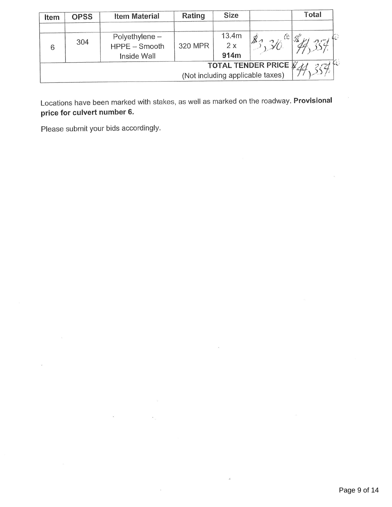| Item                             | <b>OPSS</b> | <b>Item Material</b> | Rating  | <b>Size</b> |                       | Total |
|----------------------------------|-------------|----------------------|---------|-------------|-----------------------|-------|
|                                  |             | Polyethylene $-$     |         | 13.4m       | $\mathbb{C}^{\times}$ |       |
| 6                                | 304         | HPPE - Smooth        | 320 MPR | 2x          | B                     |       |
|                                  |             | Inside Wall          |         | 914m        |                       |       |
| <b>TOTAL TENDER PRICE V</b>      |             |                      |         |             |                       |       |
| (Not including applicable taxes) |             |                      |         |             |                       |       |

Locations have been marked with stakes, as well as marked on the roadway. Provisional price for culvert number 6.

Please submit your bids accordingly.

price for culvert number 6.

 $304$  HPPE—Smooth 320 MPR 2  $\alpha$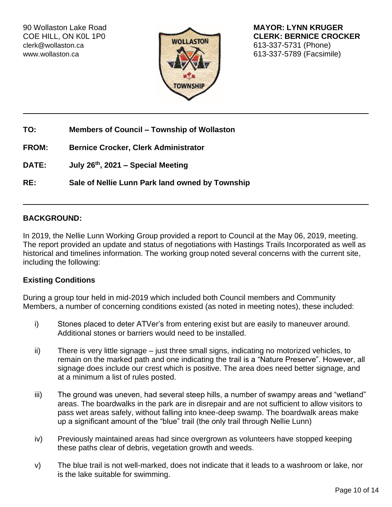[clerk@wollaston.ca](mailto:clerk@wollaston.ca) 613-337-5731 (Phone)



<span id="page-9-0"></span>90 Wollaston Lake Road **MAYOR: LYNN KRUGER** COE HILL, ON K0L 1P0 **CLERK: BERNICE CROCKER** [www.wollaston.ca](http://www.wollaston.ca/) **CONTROLLER INTERNATIONAL CONTROLLER INTERNATIONAL CONTROLLER INCORPORATION** 

**TO: Members of Council – Township of Wollaston**

**FROM: Bernice Crocker, Clerk Administrator**

**DATE: July 26th, 2021 – Special Meeting**

**RE: Sale of Nellie Lunn Park land owned by Township**

### **BACKGROUND:**

In 2019, the Nellie Lunn Working Group provided a report to Council at the May 06, 2019, meeting. The report provided an update and status of negotiations with Hastings Trails Incorporated as well as historical and timelines information. The working group noted several concerns with the current site, including the following:

### **Existing Conditions**

During a group tour held in mid-2019 which included both Council members and Community Members, a number of concerning conditions existed (as noted in meeting notes), these included:

- i) Stones placed to deter ATVer's from entering exist but are easily to maneuver around. Additional stones or barriers would need to be installed.
- ii) There is very little signage just three small signs, indicating no motorized vehicles, to remain on the marked path and one indicating the trail is a "Nature Preserve". However, all signage does include our crest which is positive. The area does need better signage, and at a minimum a list of rules posted.
- iii) The ground was uneven, had several steep hills, a number of swampy areas and "wetland" areas. The boardwalks in the park are in disrepair and are not sufficient to allow visitors to pass wet areas safely, without falling into knee-deep swamp. The boardwalk areas make up a significant amount of the "blue" trail (the only trail through Nellie Lunn)
- iv) Previously maintained areas had since overgrown as volunteers have stopped keeping these paths clear of debris, vegetation growth and weeds.
- v) The blue trail is not well-marked, does not indicate that it leads to a washroom or lake, nor is the lake suitable for swimming.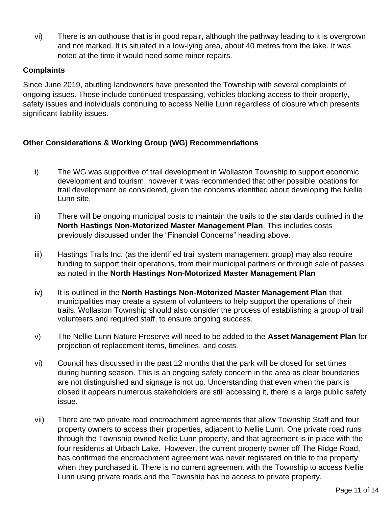vi) There is an outhouse that is in good repair, although the pathway leading to it is overgrown and not marked. It is situated in a low-lying area, about 40 metres from the lake. It was noted at the time it would need some minor repairs.

### **Complaints**

Since June 2019, abutting landowners have presented the Township with several complaints of ongoing issues. These include continued trespassing, vehicles blocking access to their property, safety issues and individuals continuing to access Nellie Lunn regardless of closure which presents significant liability issues.

## **Other Considerations & Working Group (WG) Recommendations**

- i) The WG was supportive of trail development in Wollaston Township to support economic development and tourism, however it was recommended that other possible locations for trail development be considered, given the concerns identified about developing the Nellie Lunn site.
- ii) There will be ongoing municipal costs to maintain the trails to the standards outlined in the **North Hastings Non-Motorized Master Management Plan**. This includes costs previously discussed under the "Financial Concerns" heading above.
- iii) Hastings Trails Inc. (as the identified trail system management group) may also require funding to support their operations, from their municipal partners or through sale of passes as noted in the **North Hastings Non-Motorized Master Management Plan**
- iv) It is outlined in the **North Hastings Non-Motorized Master Management Plan** that municipalities may create a system of volunteers to help support the operations of their trails. Wollaston Township should also consider the process of establishing a group of trail volunteers and required staff, to ensure ongoing success.
- v) The Nellie Lunn Nature Preserve will need to be added to the **Asset Management Plan** for projection of replacement items, timelines, and costs.
- vi) Council has discussed in the past 12 months that the park will be closed for set times during hunting season. This is an ongoing safety concern in the area as clear boundaries are not distinguished and signage is not up. Understanding that even when the park is closed it appears numerous stakeholders are still accessing it, there is a large public safety issue.
- vii) There are two private road encroachment agreements that allow Township Staff and four property owners to access their properties, adjacent to Nellie Lunn. One private road runs through the Township owned Nellie Lunn property, and that agreement is in place with the four residents at Urbach Lake. However, the current property owner off The Ridge Road, has confirmed the encroachment agreement was never registered on title to the property when they purchased it. There is no current agreement with the Township to access Nellie Lunn using private roads and the Township has no access to private property.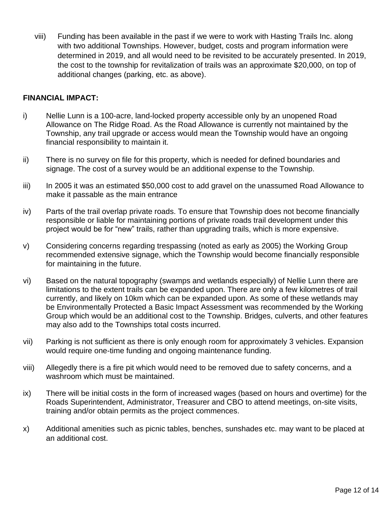viii) Funding has been available in the past if we were to work with Hasting Trails Inc. along with two additional Townships. However, budget, costs and program information were determined in 2019, and all would need to be revisited to be accurately presented. In 2019, the cost to the township for revitalization of trails was an approximate \$20,000, on top of additional changes (parking, etc. as above).

### **FINANCIAL IMPACT:**

- i) Nellie Lunn is a 100-acre, land-locked property accessible only by an unopened Road Allowance on The Ridge Road. As the Road Allowance is currently not maintained by the Township, any trail upgrade or access would mean the Township would have an ongoing financial responsibility to maintain it.
- ii) There is no survey on file for this property, which is needed for defined boundaries and signage. The cost of a survey would be an additional expense to the Township.
- iii) In 2005 it was an estimated \$50,000 cost to add gravel on the unassumed Road Allowance to make it passable as the main entrance
- iv) Parts of the trail overlap private roads. To ensure that Township does not become financially responsible or liable for maintaining portions of private roads trail development under this project would be for "new" trails, rather than upgrading trails, which is more expensive.
- v) Considering concerns regarding trespassing (noted as early as 2005) the Working Group recommended extensive signage, which the Township would become financially responsible for maintaining in the future.
- vi) Based on the natural topography (swamps and wetlands especially) of Nellie Lunn there are limitations to the extent trails can be expanded upon. There are only a few kilometres of trail currently, and likely on 10km which can be expanded upon. As some of these wetlands may be Environmentally Protected a Basic Impact Assessment was recommended by the Working Group which would be an additional cost to the Township. Bridges, culverts, and other features may also add to the Townships total costs incurred.
- vii) Parking is not sufficient as there is only enough room for approximately 3 vehicles. Expansion would require one-time funding and ongoing maintenance funding.
- viii) Allegedly there is a fire pit which would need to be removed due to safety concerns, and a washroom which must be maintained.
- ix) There will be initial costs in the form of increased wages (based on hours and overtime) for the Roads Superintendent, Administrator, Treasurer and CBO to attend meetings, on-site visits, training and/or obtain permits as the project commences.
- x) Additional amenities such as picnic tables, benches, sunshades etc. may want to be placed at an additional cost.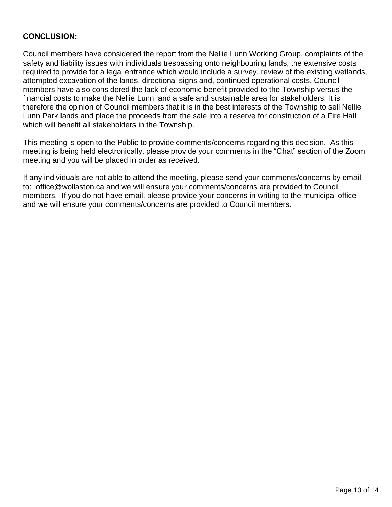## **CONCLUSION:**

Council members have considered the report from the Nellie Lunn Working Group, complaints of the safety and liability issues with individuals trespassing onto neighbouring lands, the extensive costs required to provide for a legal entrance which would include a survey, review of the existing wetlands, attempted excavation of the lands, directional signs and, continued operational costs. Council members have also considered the lack of economic benefit provided to the Township versus the financial costs to make the Nellie Lunn land a safe and sustainable area for stakeholders. It is therefore the opinion of Council members that it is in the best interests of the Township to sell Nellie Lunn Park lands and place the proceeds from the sale into a reserve for construction of a Fire Hall which will benefit all stakeholders in the Township.

This meeting is open to the Public to provide comments/concerns regarding this decision. As this meeting is being held electronically, please provide your comments in the "Chat" section of the Zoom meeting and you will be placed in order as received.

If any individuals are not able to attend the meeting, please send your comments/concerns by email to: office@wollaston.ca and we will ensure your comments/concerns are provided to Council members. If you do not have email, please provide your concerns in writing to the municipal office and we will ensure your comments/concerns are provided to Council members.